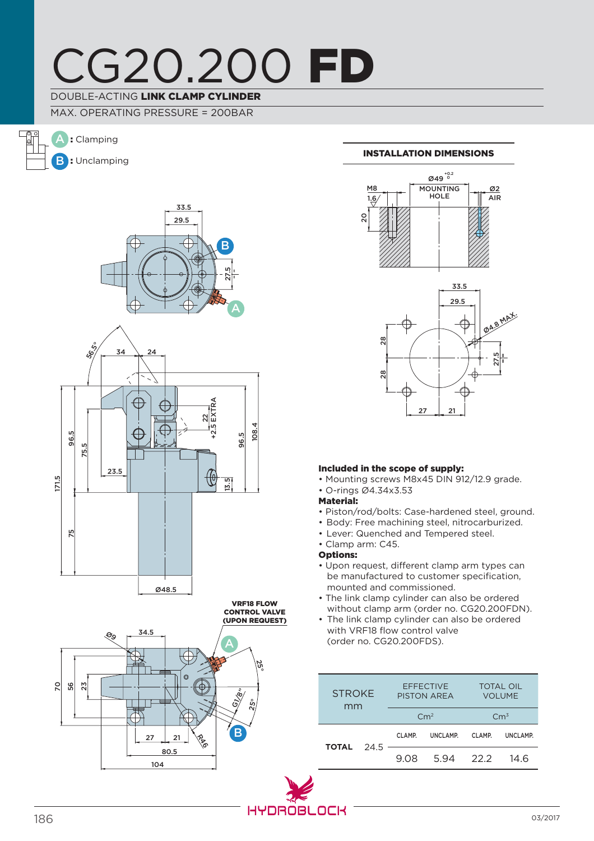# CG20.200 FD

## DOUBLE-ACTING LINK CLAMP CYLINDER

MAX. OPERATING PRESSURE = 200BAR







## INSTALLATION DIMENSIONS





## Included in the scope of supply:

- Mounting screws M8x45 DIN 912/12.9 grade.
- O-rings Ø4.34x3.53
- Material:
- Piston/rod/bolts: Case-hardened steel, ground.
- Body: Free machining steel, nitrocarburized.
- Lever: Quenched and Tempered steel.
- Clamp arm: C45.

Options:

- Upon request, different clamp arm types can be manufactured to customer specification, mounted and commissioned.
- The link clamp cylinder can also be ordered without clamp arm (order no. CG20.200FDN).
- The link clamp cylinder can also be ordered with VRF18 flow control valve (order no. CG20.200FDS).

| <b>STROKE</b><br>mm |  | <b>EFFECTIVE</b><br><b>PISTON AREA</b><br>Cm <sup>2</sup> |          | <b>TOTAL OIL</b><br><b>VOLUME</b><br>$\rm cm^3$ |          |
|---------------------|--|-----------------------------------------------------------|----------|-------------------------------------------------|----------|
| <b>TOTAL</b> 24.5   |  | CLAMP.                                                    | UNCLAMP. | CLAMP.                                          | UNCLAMP. |
|                     |  | 9.08                                                      | 594 222  |                                                 | 14 R     |